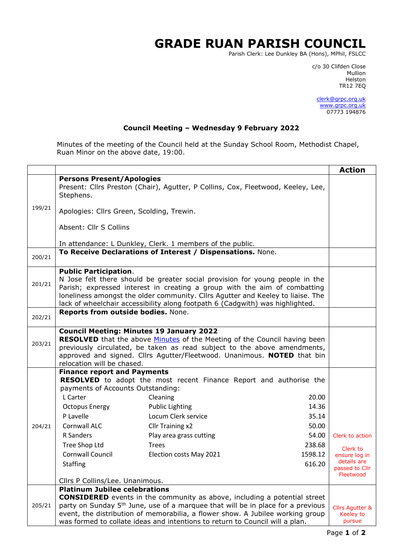## **GRADE RUAN PARISH COUNCIL**

Parish Clerk: Lee Dunkley BA (Hons), MPhil, FSLCC

c/o 30 Clifden Close man and the control of the control of the control of the control of the control of the control of the control o Helston TR12 7EQ

> [clerk@grpc.org.uk](mailto:clerk@grpc.org.uk) [www.grpc.org.uk](http://www.grpc.org.uk/) 07773 194876

## **Council Meeting – Wednesday 9 February 2022**

Minutes of the meeting of the Council held at the Sunday School Room, Methodist Chapel, Ruan Minor on the above date, 19:00.

|        |                                                                                                                                                                                                                                                                                                                                                                                                                                                                         |                                                                          | <b>Action</b>                                                                              |  |
|--------|-------------------------------------------------------------------------------------------------------------------------------------------------------------------------------------------------------------------------------------------------------------------------------------------------------------------------------------------------------------------------------------------------------------------------------------------------------------------------|--------------------------------------------------------------------------|--------------------------------------------------------------------------------------------|--|
|        | <b>Persons Present/Apologies</b><br>Present: Cllrs Preston (Chair), Agutter, P Collins, Cox, Fleetwood, Keeley, Lee,<br>Stephens.                                                                                                                                                                                                                                                                                                                                       |                                                                          |                                                                                            |  |
| 199/21 | Apologies: Cllrs Green, Scolding, Trewin.                                                                                                                                                                                                                                                                                                                                                                                                                               |                                                                          |                                                                                            |  |
|        | Absent: Cllr S Collins                                                                                                                                                                                                                                                                                                                                                                                                                                                  |                                                                          |                                                                                            |  |
|        | In attendance: L Dunkley, Clerk. 1 members of the public.                                                                                                                                                                                                                                                                                                                                                                                                               |                                                                          |                                                                                            |  |
| 200/21 | To Receive Declarations of Interest / Dispensations. None.                                                                                                                                                                                                                                                                                                                                                                                                              |                                                                          |                                                                                            |  |
| 201/21 | <b>Public Participation.</b><br>N Jose felt there should be greater social provision for young people in the<br>Parish; expressed interest in creating a group with the aim of combatting<br>loneliness amongst the older community. Cllrs Agutter and Keeley to liaise. The<br>lack of wheelchair accessibility along footpath 6 (Cadgwith) was highlighted.                                                                                                           |                                                                          |                                                                                            |  |
| 202/21 | Reports from outside bodies. None.                                                                                                                                                                                                                                                                                                                                                                                                                                      |                                                                          |                                                                                            |  |
| 203/21 | <b>Council Meeting: Minutes 19 January 2022</b><br><b>RESOLVED</b> that the above Minutes of the Meeting of the Council having been<br>previously circulated, be taken as read subject to the above amendments,<br>approved and signed. Cllrs Agutter/Fleetwood. Unanimous. NOTED that bin<br>relocation will be chased.                                                                                                                                                |                                                                          |                                                                                            |  |
| 204/21 | <b>Finance report and Payments</b><br>RESOLVED to adopt the most recent Finance Report and authorise the<br>payments of Accounts Outstanding:<br>L Carter<br>Cleaning<br><b>Public Lighting</b><br><b>Octopus Energy</b><br>P Lavelle<br>Locum Clerk service<br>Cornwall ALC<br>Cllr Training x2<br>Play area grass cutting<br>R Sanders<br>Tree Shop Ltd<br><b>Trees</b><br>Cornwall Council<br>Election costs May 2021<br>Staffing<br>Cllrs P Collins/Lee. Unanimous. | 20.00<br>14.36<br>35.14<br>50.00<br>54.00<br>238.68<br>1598.12<br>616.20 | Clerk to action<br>Clerk to<br>ensure log in<br>details are<br>passed to Cllr<br>Fleetwood |  |
| 205/21 | <b>Platinum Jubilee celebrations</b><br><b>CONSIDERED</b> events in the community as above, including a potential street<br>party on Sunday 5 <sup>th</sup> June, use of a marquee that will be in place for a previous<br>event, the distribution of memorabilia, a flower show. A Jubilee working group<br>was formed to collate ideas and intentions to return to Council will a plan.                                                                               |                                                                          | <b>Cllrs Agutter &amp;</b><br>Keeley to<br>pursue                                          |  |